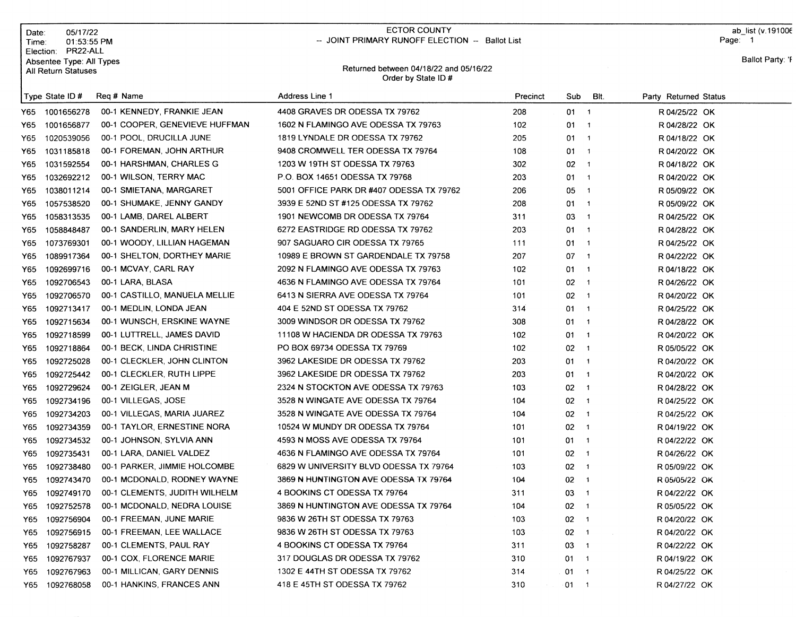|      | 05/17/22<br>Date:<br>01:53:55 PM<br>Time:<br>Election: PR22-ALL |                                | <b>ECTOR COUNTY</b><br>-- JOINT PRIMARY RUNOFF ELECTION -- Ballot List |          |                                |                         | Page: 1               | ab list (v.191006 |
|------|-----------------------------------------------------------------|--------------------------------|------------------------------------------------------------------------|----------|--------------------------------|-------------------------|-----------------------|-------------------|
|      | Absentee Type: All Types<br>All Return Statuses                 |                                | Returned between 04/18/22 and 05/16/22<br>Order by State ID#           |          |                                |                         |                       | Ballot Party: 'F  |
|      | Type State ID #                                                 | Reg # Name                     | Address Line 1                                                         | Precinct | Sub                            | BIt.                    | Party Returned Status |                   |
| Y65  | 1001656278                                                      | 00-1 KENNEDY, FRANKIE JEAN     | 4408 GRAVES DR ODESSA TX 79762                                         | 208      | $01 \quad 1$                   |                         | R 04/25/22 OK         |                   |
| Y65  | 1001656877                                                      | 00-1 COOPER, GENEVIEVE HUFFMAN | 1602 N FLAMINGO AVE ODESSA TX 79763                                    | 102      | 01                             | $\overline{\mathbf{1}}$ | R 04/28/22 OK         |                   |
| Y65  | 1020539056                                                      | 00-1 POOL, DRUCILLA JUNE       | 1819 LYNDALE DR ODESSA TX 79762                                        | 205      | $01 \quad 1$                   |                         | R 04/18/22 OK         |                   |
| Y65  | 1031185818                                                      | 00-1 FOREMAN, JOHN ARTHUR      | 9408 CROMWELL TER ODESSA TX 79764                                      | 108      | $01 \quad 1$                   |                         | R 04/20/22 OK         |                   |
| Y65  | 1031592554                                                      | 00-1 HARSHMAN, CHARLES G       | 1203 W 19TH ST ODESSA TX 79763                                         | 302      | $02 - 1$                       |                         | R 04/18/22 OK         |                   |
| Y65  | 1032692212                                                      | 00-1 WILSON, TERRY MAC         | P.O. BOX 14651 ODESSA TX 79768                                         | 203      | $01 \quad 1$                   |                         | R 04/20/22 OK         |                   |
| Y65  | 1038011214                                                      | 00-1 SMIETANA, MARGARET        | 5001 OFFICE PARK DR #407 ODESSA TX 79762                               | 206      | $05 - 1$                       |                         | R 05/09/22 OK         |                   |
| Y65  | 1057538520                                                      | 00-1 SHUMAKE, JENNY GANDY      | 3939 E 52ND ST #125 ODESSA TX 79762                                    | 208      | 01 1                           |                         | R 05/09/22 OK         |                   |
| Y65  | 1058313535                                                      | 00-1 LAMB, DAREL ALBERT        | 1901 NEWCOMB DR ODESSA TX 79764                                        | 311      | $03 - 1$                       |                         | R 04/25/22 OK         |                   |
| Y65  | 1058848487                                                      | 00-1 SANDERLIN, MARY HELEN     | 6272 EASTRIDGE RD ODESSA TX 79762                                      | 203      | $01 \quad 1$                   |                         | R 04/28/22 OK         |                   |
| Y65  | 1073769301                                                      | 00-1 WOODY, LILLIAN HAGEMAN    | 907 SAGUARO CIR ODESSA TX 79765                                        | 111      | $01 \quad 1$                   |                         | R 04/25/22 OK         |                   |
| Y65. | 1089917364                                                      | 00-1 SHELTON, DORTHEY MARIE    | 10989 E BROWN ST GARDENDALE TX 79758                                   | 207      | $07 - 1$                       |                         | R 04/22/22 OK         |                   |
| Y65  | 1092699716                                                      | 00-1 MCVAY, CARL RAY           | 2092 N FLAMINGO AVE ODESSA TX 79763                                    | 102      | $01 \quad 1$                   |                         | R 04/18/22 OK         |                   |
| Y65  | 1092706543                                                      | 00-1 LARA, BLASA               | 4636 N FLAMINGO AVE ODESSA TX 79764                                    | 101      | $02 \t1$                       |                         | R 04/26/22 OK         |                   |
| Y65. | 1092706570                                                      | 00-1 CASTILLO, MANUELA MELLIE  | 6413 N SIERRA AVE ODESSA TX 79764                                      | 101      | $02 - 1$                       |                         | R 04/20/22 OK         |                   |
| Y65  | 1092713417                                                      | 00-1 MEDLIN, LONDA JEAN        | 404 E 52ND ST ODESSA TX 79762                                          | 314      | $01 \quad 1$                   |                         | R 04/25/22 OK         |                   |
| Y65  | 1092715634                                                      | 00-1 WUNSCH, ERSKINE WAYNE     | 3009 WINDSOR DR ODESSA TX 79762                                        | 308      | $01 \quad 1$                   |                         | R 04/28/22 OK         |                   |
| Y65  | 1092718599                                                      | 00-1 LUTTRELL, JAMES DAVID     | 11108 W HACIENDA DR ODESSA TX 79763                                    | 102      | $01 \quad 1$                   |                         | R 04/20/22 OK         |                   |
| Y65  | 1092718864                                                      | 00-1 BECK, LINDA CHRISTINE     | PO BOX 69734 ODESSA TX 79769                                           | 102      | 02                             | $\overline{1}$          | R 05/05/22 OK         |                   |
| Y65  | 1092725028                                                      | 00-1 CLECKLER, JOHN CLINTON    | 3962 LAKESIDE DR ODESSA TX 79762                                       | 203      | $01 \quad 1$                   |                         | R 04/20/22 OK         |                   |
| Y65  | 1092725442                                                      | 00-1 CLECKLER, RUTH LIPPE      | 3962 LAKESIDE DR ODESSA TX 79762                                       | 203      | $01 \quad 1$                   |                         | R 04/20/22 OK         |                   |
| Y65  | 1092729624                                                      | 00-1 ZEIGLER, JEAN M           | 2324 N STOCKTON AVE ODESSA TX 79763                                    | 103      | $02 \t1$                       |                         | R 04/28/22 OK         |                   |
| Y65  | 1092734196                                                      | 00-1 VILLEGAS, JOSE            | 3528 N WINGATE AVE ODESSA TX 79764                                     | 104      | $02 - 1$                       |                         | R 04/25/22 OK         |                   |
| Y65  | 1092734203                                                      | 00-1 VILLEGAS, MARIA JUAREZ    | 3528 N WINGATE AVE ODESSA TX 79764                                     | 104      | $02 - 1$                       |                         | R 04/25/22 OK         |                   |
| Y65  | 1092734359                                                      | 00-1 TAYLOR, ERNESTINE NORA    | 10524 W MUNDY DR ODESSA TX 79764                                       | 101      | $02 \t1$                       |                         | R 04/19/22 OK         |                   |
| Y65  | 1092734532                                                      | 00-1 JOHNSON, SYLVIA ANN       | 4593 N MOSS AVE ODESSA TX 79764                                        | 101      | $01 \quad 1$                   |                         | R 04/22/22 OK         |                   |
| Y65  | 1092735431                                                      | 00-1 LARA, DANIEL VALDEZ       | 4636 N FLAMINGO AVE ODESSA TX 79764                                    | 101      | $02 - 1$                       |                         | R 04/26/22 OK         |                   |
| Y65  | 1092738480                                                      | 00-1 PARKER, JIMMIE HOLCOMBE   | 6829 W UNIVERSITY BLVD ODESSA TX 79764                                 | 103      | $02 \t1$                       |                         | R 05/09/22 OK         |                   |
| Y65  | 1092743470                                                      | 00-1 MCDONALD, RODNEY WAYNE    | 3869 N HUNTINGTON AVE ODESSA TX 79764                                  | 104      | $02 \t1$                       |                         | R 05/05/22 OK         |                   |
| Y65  | 1092749170                                                      | 00-1 CLEMENTS, JUDITH WILHELM  | 4 BOOKINS CT ODESSA TX 79764                                           | 311      | 03 1                           |                         | R 04/22/22 OK         |                   |
| Y65  | 1092752578                                                      | 00-1 MCDONALD, NEDRA LOUISE    | 3869 N HUNTINGTON AVE ODESSA TX 79764                                  | 104      | 02<br>$\overline{\phantom{a}}$ |                         | R 05/05/22 OK         |                   |
| Y65  | 1092756904                                                      | 00-1 FREEMAN, JUNE MARIE       | 9836 W 26TH ST ODESSA TX 79763                                         | 103      | 02 1                           |                         | R 04/20/22 OK         |                   |
| Y65  | 1092756915                                                      | 00-1 FREEMAN, LEE WALLACE      | 9836 W 26TH ST ODESSA TX 79763                                         | 103      | 02 1                           |                         | R 04/20/22 OK         |                   |
| Y65  | 1092758287                                                      | 00-1 CLEMENTS, PAUL RAY        | 4 BOOKINS CT ODESSA TX 79764                                           | 311      | 03 1                           |                         | R 04/22/22 OK         |                   |
| Y65  | 1092767937                                                      | 00-1 COX, FLORENCE MARIE       | 317 DOUGLAS DR ODESSA TX 79762                                         | 310      | $01 \quad 1$                   |                         | R 04/19/22 OK         |                   |
| Y65  | 1092767963                                                      | 00-1 MILLICAN, GARY DENNIS     | 1302 E 44TH ST ODESSA TX 79762                                         | 314      | $01 \quad 1$                   |                         | R 04/25/22 OK         |                   |
|      | 1092768058<br>Y65                                               | 00-1 HANKINS, FRANCES ANN      | 418 E 45TH ST ODESSA TX 79762                                          | 310      | $01 \quad 1$                   |                         | R 04/27/22 OK         |                   |

 $\mathsf{P}$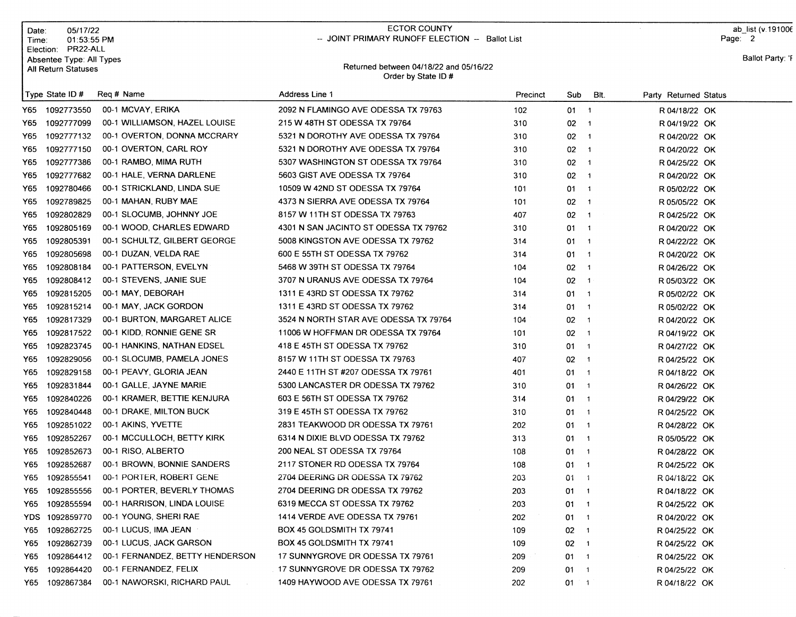| Date:<br>Time∶ | 05/17/22<br>01:53:55 PM<br>PR22-ALL<br>Election:       |                                 | <b>ECTOR COUNTY</b><br>-- JOINT PRIMARY RUNOFF ELECTION -- Ballot List |          |                      |                          | ab list (v.191006<br>Page: 2 |
|----------------|--------------------------------------------------------|---------------------------------|------------------------------------------------------------------------|----------|----------------------|--------------------------|------------------------------|
|                | Absentee Type: All Types<br><b>All Return Statuses</b> |                                 | Returned between 04/18/22 and 05/16/22<br>Order by State ID#           |          |                      |                          | Ballot Party: 'F             |
|                | Type State ID #                                        | Req # Name                      | <b>Address Line 1</b>                                                  | Precinct | Sub                  | BIt.                     | Party Returned Status        |
| Y65.           | 1092773550                                             | 00-1 MCVAY, ERIKA               | 2092 N FLAMINGO AVE ODESSA TX 79763                                    | 102      | $01 - 1$             |                          | R 04/18/22 OK                |
| Y65.           | 1092777099                                             | 00-1 WILLIAMSON, HAZEL LOUISE   | 215 W 48TH ST ODESSA TX 79764                                          | 310      | $02 - 1$             |                          | R 04/19/22 OK                |
| Y65.           | 1092777132                                             | 00-1 OVERTON, DONNA MCCRARY     | 5321 N DOROTHY AVE ODESSA TX 79764                                     | 310      | $02 \t1$             |                          | R 04/20/22 OK                |
| Y65            | 1092777150                                             | 00-1 OVERTON, CARL ROY          | 5321 N DOROTHY AVE ODESSA TX 79764                                     | 310      | $02 - 1$             |                          | R 04/20/22 OK                |
| Y65.           | 1092777386                                             | 00-1 RAMBO, MIMA RUTH           | 5307 WASHINGTON ST ODESSA TX 79764                                     | 310      | $02 - 1$             |                          | R 04/25/22 OK                |
| Y65            | 1092777682                                             | 00-1 HALE, VERNA DARLENE        | 5603 GIST AVE ODESSA TX 79764                                          | 310      | $02 - 1$             |                          | R 04/20/22 OK                |
| Y65            | 1092780466                                             | 00-1 STRICKLAND, LINDA SUE      | 10509 W 42ND ST ODESSA TX 79764                                        | 101      | $01 \t1$             |                          | R 05/02/22 OK                |
| Y65            | 1092789825                                             | 00-1 MAHAN, RUBY MAE            | 4373 N SIERRA AVE ODESSA TX 79764                                      | 101      | $02 - 1$             |                          | R 05/05/22 OK                |
| Y65            | 1092802829                                             | 00-1 SLOCUMB, JOHNNY JOE        | 8157 W 11TH ST ODESSA TX 79763                                         | 407      | $02 \t1$             |                          | R 04/25/22 OK                |
| Y65            | 1092805169                                             | 00-1 WOOD, CHARLES EDWARD       | 4301 N SAN JACINTO ST ODESSA TX 79762                                  | 310      | 01                   | $\blacksquare$           | R 04/20/22 OK                |
| Y65            | 1092805391                                             | 00-1 SCHULTZ, GILBERT GEORGE    | 5008 KINGSTON AVE ODESSA TX 79762                                      | 314      | $01 \quad 1$         |                          | R 04/22/22 OK                |
| Y65.           | 1092805698                                             | 00-1 DUZAN, VELDA RAE           | 600 E 55TH ST ODESSA TX 79762                                          | 314      | $01 \quad 1$         |                          | R 04/20/22 OK                |
| Y65            | 1092808184                                             | 00-1 PATTERSON, EVELYN          | 5468 W 39TH ST ODESSA TX 79764                                         | 104      | $02 - 1$             |                          | R 04/26/22 OK                |
| Y65            | 1092808412                                             | 00-1 STEVENS, JANIE SUE         | 3707 N URANUS AVE ODESSA TX 79764                                      | 104      | $02 - 1$             |                          | R 05/03/22 OK                |
| Y65            | 1092815205                                             | 00-1 MAY, DEBORAH               | 1311 E 43RD ST ODESSA TX 79762                                         | 314      | $01 - 1$             |                          | R 05/02/22 OK                |
| Y65            | 1092815214                                             | 00-1 MAY, JACK GORDON           | 1311 E 43RD ST ODESSA TX 79762                                         | 314      | 01                   | $\overline{1}$           | R 05/02/22 OK                |
| Y65            | 1092817329                                             | 00-1 BURTON, MARGARET ALICE     | 3524 N NORTH STAR AVE ODESSA TX 79764                                  | 104      | $02 - 1$             |                          | R 04/20/22 OK                |
| Y65            | 1092817522                                             | 00-1 KIDD, RONNIE GENE SR       | 11006 W HOFFMAN DR ODESSA TX 79764                                     | 101      | $02 - 1$             |                          | R 04/19/22 OK                |
| Y65            | 1092823745                                             | 00-1 HANKINS, NATHAN EDSEL      | 418 E 45TH ST ODESSA TX 79762                                          | 310      | 01 1                 |                          | R 04/27/22 OK                |
| Y65            | 1092829056                                             | 00-1 SLOCUMB, PAMELA JONES      | 8157 W 11TH ST ODESSA TX 79763                                         | 407      | $02 - 1$             |                          | R 04/25/22 OK                |
| Y65            | 1092829158                                             | 00-1 PEAVY, GLORIA JEAN         | 2440 E 11TH ST #207 ODESSA TX 79761                                    | 401      | $01 \t1$             |                          | R 04/18/22 OK                |
| Y65            | 1092831844                                             | 00-1 GALLE, JAYNE MARIE         | 5300 LANCASTER DR ODESSA TX 79762                                      | 310      | 01                   | $\sqrt{1}$               | R 04/26/22 OK                |
| Y65            | 1092840226                                             | 00-1 KRAMER, BETTIE KENJURA     | 603 E 56TH ST ODESSA TX 79762                                          | 314      | 01<br>$\overline{1}$ |                          | R 04/29/22 OK                |
| Y65            | 1092840448                                             | 00-1 DRAKE, MILTON BUCK         | 319 E 45TH ST ODESSA TX 79762                                          | 310      | 01                   | $\overline{1}$           | R 04/25/22 OK                |
| Y65            | 1092851022                                             | 00-1 AKINS, YVETTE              | 2831 TEAKWOOD DR ODESSA TX 79761                                       | 202      | 01                   | $\overline{\phantom{1}}$ | R 04/28/22 OK                |
| Y65            | 1092852267                                             | 00-1 MCCULLOCH, BETTY KIRK      | 6314 N DIXIE BLVD ODESSA TX 79762                                      | 313      | 01                   | $\overline{1}$           | R 05/05/22 OK                |
| Y65            | 1092852673                                             | 00-1 RISO, ALBERTO              | 200 NEAL ST ODESSA TX 79764                                            | 108      | 01                   | $\overline{1}$           | R 04/28/22 OK                |
| Y65            | 1092852687                                             | 00-1 BROWN, BONNIE SANDERS      | 2117 STONER RD ODESSA TX 79764                                         | 108      | 01                   | $\overline{1}$           | R 04/25/22 OK                |
| Y65.           | 1092855541                                             | 00-1 PORTER, ROBERT GENE        | 2704 DEERING DR ODESSA TX 79762                                        | 203      | $01 \t 1$            |                          | R 04/18/22 OK                |
| Y65            | 1092855556                                             | 00-1 PORTER, BEVERLY THOMAS     | 2704 DEERING DR ODESSA TX 79762                                        | 203      | $01 \quad 1$         |                          | R 04/18/22 OK                |
| Y65            | 1092855594                                             | 00-1 HARRISON, LINDA LOUISE     | 6319 MECCA ST ODESSA TX 79762                                          | 203      | $01 \quad 1$         |                          | R 04/25/22 OK                |
| YDS.           | 1092859770                                             | 00-1 YOUNG, SHERI RAE           | 1414 VERDE AVE ODESSA TX 79761                                         | 202      | $01 \quad 1$         |                          | R 04/20/22 OK                |
| Y65            | 1092862725                                             | 00-1 LUCUS, IMA JEAN            | BOX 45 GOLDSMITH TX 79741                                              | 109      | $02 \quad 1$         |                          | R 04/25/22 OK                |
| Y65            | 1092862739                                             | 00-1 LUCUS, JACK GARSON         | BOX 45 GOLDSMITH TX 79741                                              | 109      | $02 \t1$             |                          | R 04/25/22 OK                |
| Y65            | 1092864412                                             | 00-1 FERNANDEZ, BETTY HENDERSON | 17 SUNNYGROVE DR ODESSA TX 79761                                       | 209      | $01 \quad 1$         |                          | R 04/25/22 OK                |
| Y65            | 1092864420                                             | 00-1 FERNANDEZ, FELIX           | 17 SUNNYGROVE DR ODESSA TX 79762                                       | 209      | $01 \quad 1$         |                          | R 04/25/22 OK                |
| Y65            | 1092867384                                             | 00-1 NAWORSKI, RICHARD PAUL     | 1409 HAYWOOD AVE ODESSA TX 79761                                       | 202      | $01 - 1$             |                          | R 04/18/22 OK                |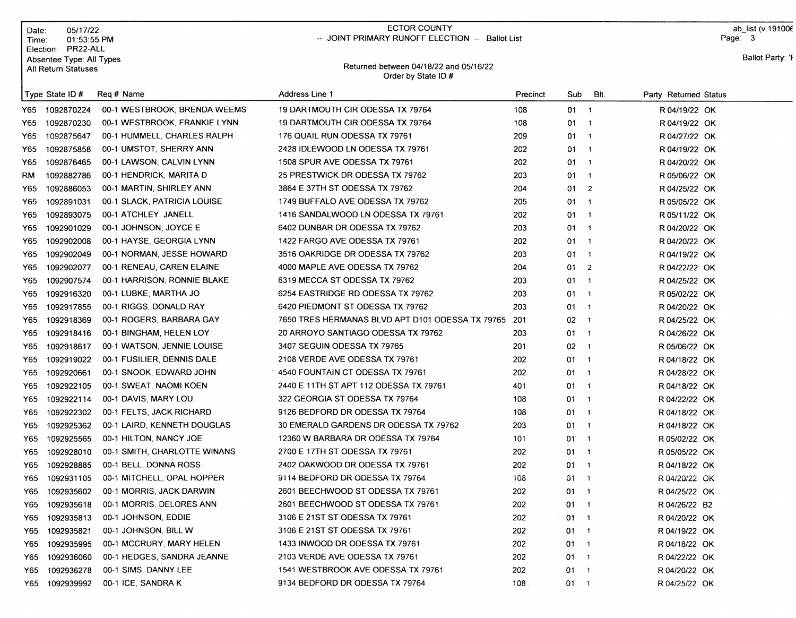| Date:<br>Time: | 05/17/22<br>01:53:55 PM<br>Election: PR22-ALL   | <b>ECTOR COUNTY</b><br>-- JOINT PRIMARY RUNOFF ELECTION -- Ballot List |                                                              |          |              |                          |                       |                  |
|----------------|-------------------------------------------------|------------------------------------------------------------------------|--------------------------------------------------------------|----------|--------------|--------------------------|-----------------------|------------------|
|                | Absentee Type: All Types<br>All Return Statuses |                                                                        | Returned between 04/18/22 and 05/16/22<br>Order by State ID# |          |              |                          |                       | Ballot Party: 'F |
|                | Type State ID#                                  | Reg # Name                                                             | Address Line 1                                               | Precinct | Sub          | BIt.                     | Party Returned Status |                  |
| Y65.           | 1092870224                                      | 00-1 WESTBROOK, BRENDA WEEMS                                           | 19 DARTMOUTH CIR ODESSA TX 79764                             | 108      | $01 \t1$     |                          | R 04/19/22 OK         |                  |
| Y65            | 1092870230                                      | 00-1 WESTBROOK, FRANKIE LYNN                                           | 19 DARTMOUTH CIR ODESSA TX 79764                             | 108      | 01           | $\overline{1}$           | R 04/19/22 OK         |                  |
| Y65            | 1092875647                                      | 00-1 HUMMELL, CHARLES RALPH                                            | 176 QUAIL RUN ODESSA TX 79761                                | 209      | 01           | $\overline{1}$           | R 04/27/22 OK         |                  |
| Y65            | 1092875858                                      | 00-1 UMSTOT, SHERRY ANN                                                | 2428 IDLEWOOD LN ODESSA TX 79761                             | 202      | 01           | $\overline{1}$           | R 04/19/22 OK         |                  |
| Y65            | 1092876465                                      | 00-1 LAWSON, CALVIN LYNN                                               | 1508 SPUR AVE ODESSA TX 79761                                | 202      | 01           | $\overline{1}$           | R 04/20/22 OK         |                  |
| RM             | 1092882786                                      | 00-1 HENDRICK, MARITA D                                                | 25 PRESTWICK DR ODESSA TX 79762                              | 203      | 01           | $\overline{1}$           | R 05/06/22 OK         |                  |
| Y65            | 1092886053                                      | 00-1 MARTIN, SHIRLEY ANN                                               | 3864 E 37TH ST ODESSA TX 79762                               | 204      | 01.          | $\overline{2}$           | R 04/25/22 OK         |                  |
| Y65            | 1092891031                                      | 00-1 SLACK, PATRICIA LOUISE                                            | 1749 BUFFALO AVE ODESSA TX 79762                             | 205      | $01 \quad 1$ |                          | R 05/05/22 OK         |                  |
| Y65            | 1092893075                                      | 00-1 ATCHLEY, JANELL                                                   | 1416 SANDALWOOD LN ODESSA TX 79761                           | 202      | $01 \quad 1$ |                          | R 05/11/22 OK         |                  |
| Y65            | 1092901029                                      | 00-1 JOHNSON, JOYCE E                                                  | 6402 DUNBAR DR ODESSA TX 79762                               | 203      | $01 \quad 1$ |                          | R 04/20/22 OK         |                  |
| Y65            | 1092902008                                      | 00-1 HAYSE, GEORGIA LYNN                                               | 1422 FARGO AVE ODESSA TX 79761                               | 202      | 01           | $\overline{1}$           | R 04/20/22 OK         |                  |
| Y65            | 1092902049                                      | 00-1 NORMAN, JESSE HOWARD                                              | 3516 OAKRIDGE DR ODESSA TX 79762                             | 203      | 01           | $\overline{1}$           | R 04/19/22 OK         |                  |
| Y65            | 1092902077                                      | 00-1 RENEAU, CAREN ELAINE                                              | 4000 MAPLE AVE ODESSA TX 79762                               | 204      | 01           | $\overline{2}$           | R 04/22/22 OK         |                  |
| Y65            | 1092907574                                      | 00-1 HARRISON, RONNIE BLAKE                                            | 6319 MECCA ST ODESSA TX 79762                                | 203      | 01           | $\overline{1}$           | R 04/25/22 OK         |                  |
| Y65            | 1092916320                                      | 00-1 LUBKE, MARTHA JO                                                  | 6254 EASTRIDGE RD ODESSA TX 79762                            | 203      | 01           | $\overline{\mathbf{1}}$  | R 05/02/22 OK         |                  |
| Y65            | 1092917855                                      | 00-1 RIGGS, DONALD RAY                                                 | 6420 PIEDMONT ST ODESSA TX 79762                             | 203      | 01           | $\overline{1}$           | R 04/20/22 OK         |                  |
| Y65            | 1092918369                                      | 00-1 ROGERS, BARBARA GAY                                               | 7650 TRES HERMANAS BLVD APT D101 ODESSA TX 79765             | 201      | 02           | $\overline{1}$           | R 04/25/22 OK         |                  |
| Y65            | 1092918416                                      | 00-1 BINGHAM, HELEN LOY                                                | 20 ARROYO SANTIAGO ODESSA TX 79762                           | 203      | 01           | $\overline{\phantom{a}}$ | R 04/26/22 OK         |                  |
| Y65            | 1092918617                                      | 00-1 WATSON, JENNIE LOUISE                                             | 3407 SEGUIN ODESSA TX 79765                                  | 201      | 02           | $\mathbf{1}$             | R 05/06/22 OK         |                  |
| Y65            | 1092919022                                      | 00-1 FUSILIER, DENNIS DALE                                             | 2108 VERDE AVE ODESSA TX 79761                               | 202      | $01 \quad 1$ |                          | R 04/18/22 OK         |                  |
| Y65            | 1092920661                                      | 00-1 SNOOK, EDWARD JOHN                                                | 4540 FOUNTAIN CT ODESSA TX 79761                             | 202      | 01           | $\overline{\phantom{a}}$ | R 04/28/22 OK         |                  |
| Y65            | 1092922105                                      | 00-1 SWEAT, NAOMI KOEN                                                 | 2440 E 11TH ST APT 112 ODESSA TX 79761                       | 401      | $01 \quad 1$ |                          | R 04/18/22 OK         |                  |
| Y65            | 1092922114                                      | 00-1 DAVIS, MARY LOU                                                   | 322 GEORGIA ST ODESSA TX 79764                               | 108      | 01           | $\blacksquare$ 1         | R 04/22/22 OK         |                  |
| Y65            | 1092922302                                      | 00-1 FELTS, JACK RICHARD                                               | 9126 BEDFORD DR ODESSA TX 79764                              | 108      | 01           | $\overline{\phantom{a}}$ | R 04/18/22 OK         |                  |
| Y65            | 1092925362                                      | 00-1 LAIRD, KENNETH DOUGLAS                                            | 30 EMERALD GARDENS DR ODESSA TX 79762                        | 203      | $01 \quad 1$ |                          | R 04/18/22 OK         |                  |
| Y65            | 1092925565                                      | 00-1 HILTON, NANCY JOE                                                 | 12360 W BARBARA DR ODESSA TX 79764                           | 101      | 01.          | $\overline{\phantom{a}}$ | R 05/02/22 OK         |                  |
| Y65            | 1092928010                                      | 00-1 SMITH, CHARLOTTE WINANS                                           | 2700 E 17TH ST ODESSA TX 79761                               | 202      | 01           | $\overline{1}$           | R 05/05/22 OK         |                  |
| Y65            | 1092928885                                      | 00-1 BELL, DONNA ROSS                                                  | 2402 OAKWOOD DR ODESSA TX 79761                              | 202      | $01 \quad 1$ |                          | R 04/18/22 OK         |                  |
| Y65            | 1092931105                                      | 00-1 MITCHELL, OPAL HOPPER                                             | 9114 BEDFORD DR ODESSA TX 79764                              | 108      | $01 \quad 1$ |                          | R 04/20/22 OK         |                  |
| Y65            | 1092935602                                      | 00-1 MORRIS, JACK DARWIN                                               | 2601 BEECHWOOD ST ODESSA TX 79761                            | 202      | $01 \quad 1$ |                          | R 04/25/22 OK         |                  |
| Y65            | 1092935618                                      | 00-1 MORRIS, DELORES ANN                                               | 2601 BEECHWOOD ST ODESSA TX 79761                            | 202      | $01 \quad 1$ |                          | R 04/26/22 B2         |                  |
| Y65            | 1092935813                                      | 00-1 JOHNSON, EDDIE                                                    | 3106 E 21ST ST ODESSA TX 79761                               | 202      | $01 \quad 1$ |                          | R 04/20/22 OK         |                  |
| Y65            | 1092935821                                      | 00-1 JOHNSON, BILL W                                                   | 3106 E 21ST ST ODESSA TX 79761                               | 202      | $01 \quad 1$ |                          | R 04/19/22 OK         |                  |
| Y65            | 1092935995                                      | 00-1 MCCRURY, MARY HELEN                                               | 1433 INWOOD DR ODESSA TX 79761                               | 202      | $01 \quad 1$ |                          | R 04/18/22 OK         |                  |
| Y65            | 1092936060                                      | 00-1 HEDGES, SANDRA JEANNE                                             | 2103 VERDE AVE ODESSA TX 79761                               | 202      | $01 \quad 1$ |                          | R 04/22/22 OK         |                  |
| Y65            | 1092936278                                      | 00-1 SIMS, DANNY LEE                                                   | 1541 WESTBROOK AVE ODESSA TX 79761                           | 202      | $01 \quad 1$ |                          | R 04/20/22 OK         |                  |
| Y65.           | 1092939992                                      | 00-1 ICE, SANDRA K                                                     | 9134 BEDFORD DR ODESSA TX 79764                              | 108      | $01 \quad 1$ |                          | R 04/25/22 OK         |                  |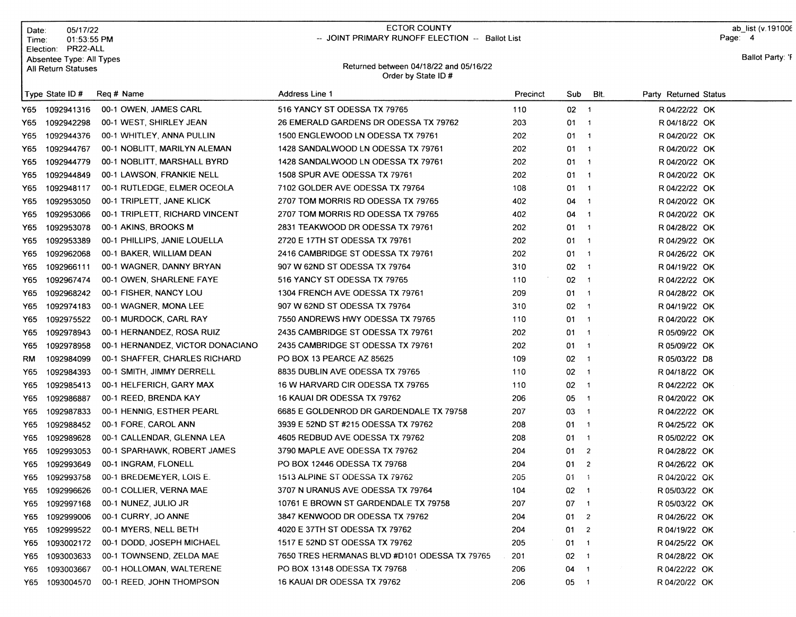| Date:<br>Time∶ | 05/17/22<br>01:53:55 PM<br>Election: PR22-ALL   |                                  | ECTOR COUNTY<br>-- JOINT PRIMARY RUNOFF ELECTION -- Ballot List |          |              |                         |                       | ab_list (v.191006<br>Page: 4 |
|----------------|-------------------------------------------------|----------------------------------|-----------------------------------------------------------------|----------|--------------|-------------------------|-----------------------|------------------------------|
|                | Absentee Type: All Types<br>All Return Statuses |                                  | Returned between 04/18/22 and 05/16/22<br>Order by State ID#    |          |              |                         |                       | Ballot Party: 'F             |
|                | Type State ID#                                  | Reg # Name                       | <b>Address Line 1</b>                                           | Precinct | Sub          | BIt.                    | Party Returned Status |                              |
| Y65            | 1092941316                                      | 00-1 OWEN, JAMES CARL            | 516 YANCY ST ODESSA TX 79765                                    | 110      | $02 - 1$     |                         | R 04/22/22 OK         |                              |
| Y65.           | 1092942298                                      | 00-1 WEST, SHIRLEY JEAN          | 26 EMERALD GARDENS DR ODESSA TX 79762                           | 203      | $01 \quad 1$ |                         | R 04/18/22 OK         |                              |
| Y65            | 1092944376                                      | 00-1 WHITLEY, ANNA PULLIN        | 1500 ENGLEWOOD LN ODESSA TX 79761                               | 202      | $01 \quad 1$ |                         | R 04/20/22 OK         |                              |
| Y65            | 1092944767                                      | 00-1 NOBLITT, MARILYN ALEMAN     | 1428 SANDALWOOD LN ODESSA TX 79761                              | 202      | $01 \quad 1$ |                         | R 04/20/22 OK         |                              |
| Y65.           | 1092944779                                      | 00-1 NOBLITT, MARSHALL BYRD      | 1428 SANDALWOOD LN ODESSA TX 79761                              | 202      | $01 \quad 1$ |                         | R 04/20/22 OK         |                              |
| Y65            | 1092944849                                      | 00-1 LAWSON, FRANKIE NELL        | 1508 SPUR AVE ODESSA TX 79761                                   | 202      | $01 \quad 1$ |                         | R 04/20/22 OK         |                              |
| Y65            | 1092948117                                      | 00-1 RUTLEDGE, ELMER OCEOLA      | 7102 GOLDER AVE ODESSA TX 79764                                 | 108      | 01 1         |                         | R 04/22/22 OK         |                              |
| Y65            | 1092953050                                      | 00-1 TRIPLETT, JANE KLICK        | 2707 TOM MORRIS RD ODESSA TX 79765                              | 402      | $04 - 1$     |                         | R 04/20/22 OK         |                              |
| Y65            | 1092953066                                      | 00-1 TRIPLETT, RICHARD VINCENT   | 2707 TOM MORRIS RD ODESSA TX 79765                              | 402      | $04 \quad 1$ |                         | R 04/20/22 OK         |                              |
| Y65            | 1092953078                                      | 00-1 AKINS, BROOKS M             | 2831 TEAKWOOD DR ODESSA TX 79761                                | 202      | $01 \quad 1$ |                         | R 04/28/22 OK         |                              |
| Y65            | 1092953389                                      | 00-1 PHILLIPS, JANIE LOUELLA     | 2720 E 17TH ST ODESSA TX 79761                                  | 202      | $01 \quad 1$ |                         | R 04/29/22 OK         |                              |
| Y65            | 1092962068                                      | 00-1 BAKER, WILLIAM DEAN         | 2416 CAMBRIDGE ST ODESSA TX 79761                               | 202      | $01 \quad 1$ |                         | R 04/26/22 OK         |                              |
| Y65            | 1092966111                                      | 00-1 WAGNER, DANNY BRYAN         | 907 W 62ND ST ODESSA TX 79764                                   | 310      | $02 \t1$     |                         | R 04/19/22 OK         |                              |
| Y65            | 1092967474                                      | 00-1 OWEN, SHARLENE FAYE         | 516 YANCY ST ODESSA TX 79765                                    | 110      | $02 \t1$     |                         | R 04/22/22 OK         |                              |
| Y65            | 1092968242                                      | 00-1 FISHER, NANCY LOU           | 1304 FRENCH AVE ODESSA TX 79761                                 | 209      | $01 \quad 1$ |                         | R 04/28/22 OK         |                              |
| Y65.           | 1092974183                                      | 00-1 WAGNER, MONA LEE            | 907 W 62ND ST ODESSA TX 79764                                   | 310      | $02 \t1$     |                         | R 04/19/22 OK         |                              |
| Y65            | 1092975522                                      | 00-1 MURDOCK, CARL RAY           | 7550 ANDREWS HWY ODESSA TX 79765                                | 110      | $01 \quad 1$ |                         | R 04/20/22 OK         |                              |
| Y65            | 1092978943                                      | 00-1 HERNANDEZ, ROSA RUIZ        | 2435 CAMBRIDGE ST ODESSA TX 79761                               | 202      | $01 \quad 1$ |                         | R 05/09/22 OK         |                              |
| Y65            | 1092978958                                      | 00-1 HERNANDEZ, VICTOR DONACIANO | 2435 CAMBRIDGE ST ODESSA TX 79761                               | 202      | $01 \quad 1$ |                         | R 05/09/22 OK         |                              |
| RM             | 1092984099                                      | 00-1 SHAFFER, CHARLES RICHARD    | PO BOX 13 PEARCE AZ 85625                                       | 109      | $02 - 1$     |                         | R 05/03/22 D8         |                              |
| Y65            | 1092984393                                      | 00-1 SMITH, JIMMY DERRELL        | 8835 DUBLIN AVE ODESSA TX 79765                                 | 110      | $02 - 1$     |                         | R 04/18/22 OK         |                              |
| Y65            | 1092985413                                      | 00-1 HELFERICH, GARY MAX         | 16 W HARVARD CIR ODESSA TX 79765                                | 110      | $02 - 1$     |                         | R 04/22/22 OK         |                              |
| Y65            | 1092986887                                      | 00-1 REED, BRENDA KAY            | 16 KAUAI DR ODESSA TX 79762                                     | 206      | 05           | $\overline{\mathbf{1}}$ | R 04/20/22 OK         |                              |
| Y65            | 1092987833                                      | 00-1 HENNIG, ESTHER PEARL        | 6685 E GOLDENROD DR GARDENDALE TX 79758                         | 207      | 03           | $\overline{\mathbf{1}}$ | R 04/22/22 OK         |                              |
| Y65            | 1092988452                                      | 00-1 FORE, CAROL ANN             | 3939 E 52ND ST #215 ODESSA TX 79762                             | 208      | $01 \quad 1$ |                         | R 04/25/22 OK         |                              |
| Y65            | 1092989628                                      | 00-1 CALLENDAR, GLENNA LEA       | 4605 REDBUD AVE ODESSA TX 79762                                 | 208      | $01 \quad 1$ |                         | R 05/02/22 OK         |                              |
| Y65            | 1092993053                                      | 00-1 SPARHAWK, ROBERT JAMES      | 3790 MAPLE AVE ODESSA TX 79762                                  | 204      | 01           | $\overline{2}$          | R 04/28/22 OK         |                              |
| Y65            | 1092993649                                      | 00-1 INGRAM, FLONELL             | PO BOX 12446 ODESSA TX 79768                                    | 204      | 012          |                         | R 04/26/22 OK         |                              |
| Y65            | 1092993758                                      | 00-1 BREDEMEYER, LOIS E.         | 1513 ALPINE ST ODESSA TX 79762                                  | 205      | $01 \quad 1$ |                         | R 04/20/22 OK         |                              |
| Y65            | 1092996626                                      | 00-1 COLLIER, VERNA MAE          | 3707 N URANUS AVE ODESSA TX 79764                               | 104      | $02 \quad 1$ |                         | R 05/03/22 OK         |                              |
| Y65            | 1092997168                                      | 00-1 NUNEZ, JULIO JR             | 10761 E BROWN ST GARDENDALE TX 79758                            | 207      | 07 1         |                         | R 05/03/22 OK         |                              |
| Y65            | 1092999006                                      | 00-1 CURRY, JO ANNE              | 3847 KENWOOD DR ODESSA TX 79762                                 | 204      | 01 2         |                         | R 04/26/22 OK         |                              |
| Y65            | 1092999522                                      | 00-1 MYERS, NELL BETH            | 4020 E 37TH ST ODESSA TX 79762                                  | 204      | 01 2         |                         | R 04/19/22 OK         |                              |
| Y65            | 1093002172                                      | 00-1 DODD, JOSEPH MICHAEL        | 1517 E 52ND ST ODESSA TX 79762                                  | 205      | $01 \quad 1$ |                         | R 04/25/22 OK         |                              |
| Y65            | 1093003633                                      | 00-1 TOWNSEND, ZELDA MAE         | 7650 TRES HERMANAS BLVD #D101 ODESSA TX 79765                   | 201      | 02 1         |                         | R 04/28/22 OK         |                              |
| Y65            | 1093003667                                      | 00-1 HOLLOMAN, WALTERENE         | PO BOX 13148 ODESSA TX 79768                                    | 206      | 04 1         |                         | R 04/22/22 OK         |                              |
| Y65            | 1093004570                                      | 00-1 REED, JOHN THOMPSON         | 16 KAUAI DR ODESSA TX 79762                                     | 206      | 05 1         |                         | R 04/20/22 OK         |                              |